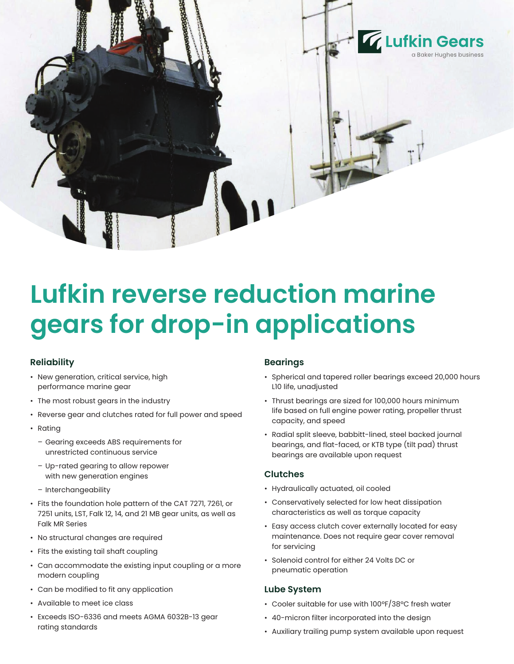

# **Lufkin reverse reduction marine gears for drop-in applications**

# **Reliability**

- New generation, critical service, high performance marine gear
- The most robust gears in the industry
- Reverse gear and clutches rated for full power and speed
- Rating
	- Gearing exceeds ABS requirements for unrestricted continuous service
	- Up-rated gearing to allow repower with new generation engines
	- Interchangeability
- Fits the foundation hole pattern of the CAT 7271, 7261, or 7251 units, LST, Falk 12, 14, and 21 MB gear units, as well as Falk MR Series
- No structural changes are required
- Fits the existing tail shaft coupling
- Can accommodate the existing input coupling or a more modern coupling
- Can be modified to fit any application
- Available to meet ice class
- Exceeds ISO-6336 and meets AGMA 6032B-13 gear rating standards

## **Bearings**

- Spherical and tapered roller bearings exceed 20,000 hours L10 life, unadjusted
- Thrust bearings are sized for 100,000 hours minimum life based on full engine power rating, propeller thrust capacity, and speed
- Radial split sleeve, babbitt-lined, steel backed journal bearings, and flat-faced, or KTB type (tilt pad) thrust bearings are available upon request

#### **Clutches**

- Hydraulically actuated, oil cooled
- Conservatively selected for low heat dissipation characteristics as well as torque capacity
- Easy access clutch cover externally located for easy maintenance. Does not require gear cover removal for servicing
- Solenoid control for either 24 Volts DC or pneumatic operation

## **Lube System**

- Cooler suitable for use with 100ºF/38ºC fresh water
- 40-micron filter incorporated into the design
- Auxiliary trailing pump system available upon request